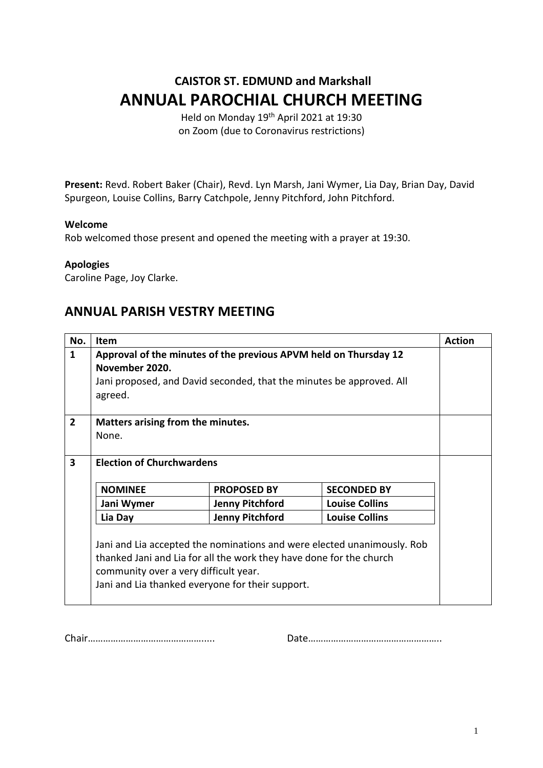# **CAISTOR ST. EDMUND and Markshall ANNUAL PAROCHIAL CHURCH MEETING**

Held on Monday 19th April 2021 at 19:30 on Zoom (due to Coronavirus restrictions)

**Present:** Revd. Robert Baker (Chair), Revd. Lyn Marsh, Jani Wymer, Lia Day, Brian Day, David Spurgeon, Louise Collins, Barry Catchpole, Jenny Pitchford, John Pitchford.

### **Welcome**

Rob welcomed those present and opened the meeting with a prayer at 19:30.

### **Apologies**

Caroline Page, Joy Clarke.

### **ANNUAL PARISH VESTRY MEETING**

| No.            | Item                                                                    |                        |                       | <b>Action</b> |  |  |
|----------------|-------------------------------------------------------------------------|------------------------|-----------------------|---------------|--|--|
| $\mathbf{1}$   | Approval of the minutes of the previous APVM held on Thursday 12        |                        |                       |               |  |  |
|                | November 2020.                                                          |                        |                       |               |  |  |
|                | Jani proposed, and David seconded, that the minutes be approved. All    |                        |                       |               |  |  |
|                | agreed.                                                                 |                        |                       |               |  |  |
|                |                                                                         |                        |                       |               |  |  |
| $\overline{2}$ | Matters arising from the minutes.                                       |                        |                       |               |  |  |
|                | None.                                                                   |                        |                       |               |  |  |
|                |                                                                         |                        |                       |               |  |  |
| 3              | <b>Election of Churchwardens</b>                                        |                        |                       |               |  |  |
|                |                                                                         |                        |                       |               |  |  |
|                | <b>NOMINEE</b>                                                          | <b>PROPOSED BY</b>     | <b>SECONDED BY</b>    |               |  |  |
|                | Jani Wymer                                                              | <b>Jenny Pitchford</b> | <b>Louise Collins</b> |               |  |  |
|                | Lia Day                                                                 | <b>Jenny Pitchford</b> | <b>Louise Collins</b> |               |  |  |
|                |                                                                         |                        |                       |               |  |  |
|                | Jani and Lia accepted the nominations and were elected unanimously. Rob |                        |                       |               |  |  |
|                | thanked Jani and Lia for all the work they have done for the church     |                        |                       |               |  |  |
|                | community over a very difficult year.                                   |                        |                       |               |  |  |
|                | Jani and Lia thanked everyone for their support.                        |                        |                       |               |  |  |
|                |                                                                         |                        |                       |               |  |  |

Chair………………………………………..... Date……………………………………………..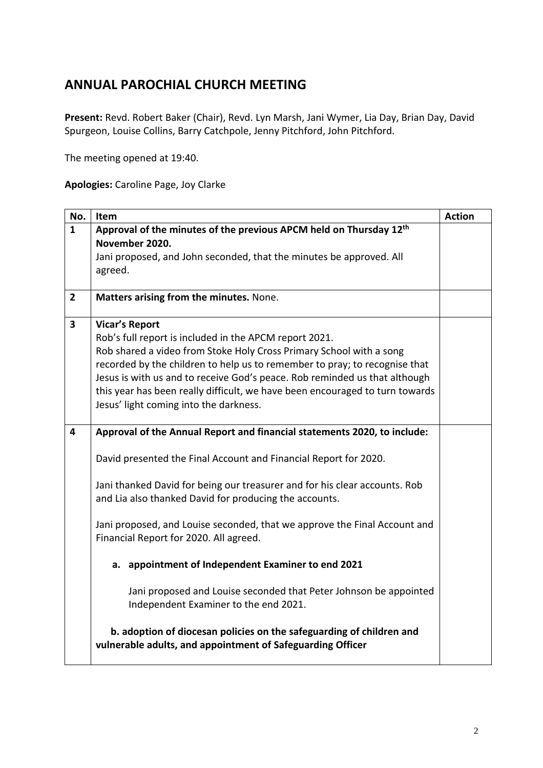## **ANNUAL PAROCHIAL CHURCH MEETING**

**Present:** Revd. Robert Baker (Chair), Revd. Lyn Marsh, Jani Wymer, Lia Day, Brian Day, David Spurgeon, Louise Collins, Barry Catchpole, Jenny Pitchford, John Pitchford.

The meeting opened at 19:40.

### **Apologies:** Caroline Page, Joy Clarke

| No.            | Item                                                                                                                                 | <b>Action</b> |  |
|----------------|--------------------------------------------------------------------------------------------------------------------------------------|---------------|--|
| $\mathbf{1}$   | Approval of the minutes of the previous APCM held on Thursday 12 <sup>th</sup>                                                       |               |  |
|                | November 2020.                                                                                                                       |               |  |
|                | Jani proposed, and John seconded, that the minutes be approved. All<br>agreed.                                                       |               |  |
|                |                                                                                                                                      |               |  |
| $\overline{2}$ | Matters arising from the minutes. None.                                                                                              |               |  |
| 3              | <b>Vicar's Report</b>                                                                                                                |               |  |
|                | Rob's full report is included in the APCM report 2021.                                                                               |               |  |
|                | Rob shared a video from Stoke Holy Cross Primary School with a song                                                                  |               |  |
|                | recorded by the children to help us to remember to pray; to recognise that                                                           |               |  |
|                | Jesus is with us and to receive God's peace. Rob reminded us that although                                                           |               |  |
|                | this year has been really difficult, we have been encouraged to turn towards                                                         |               |  |
|                | Jesus' light coming into the darkness.                                                                                               |               |  |
| 4              | Approval of the Annual Report and financial statements 2020, to include:                                                             |               |  |
|                | David presented the Final Account and Financial Report for 2020.                                                                     |               |  |
|                | Jani thanked David for being our treasurer and for his clear accounts. Rob<br>and Lia also thanked David for producing the accounts. |               |  |
|                |                                                                                                                                      |               |  |
|                | Jani proposed, and Louise seconded, that we approve the Final Account and                                                            |               |  |
|                | Financial Report for 2020. All agreed.                                                                                               |               |  |
|                | a. appointment of Independent Examiner to end 2021                                                                                   |               |  |
|                | Jani proposed and Louise seconded that Peter Johnson be appointed<br>Independent Examiner to the end 2021.                           |               |  |
|                | b. adoption of diocesan policies on the safeguarding of children and<br>vulnerable adults, and appointment of Safeguarding Officer   |               |  |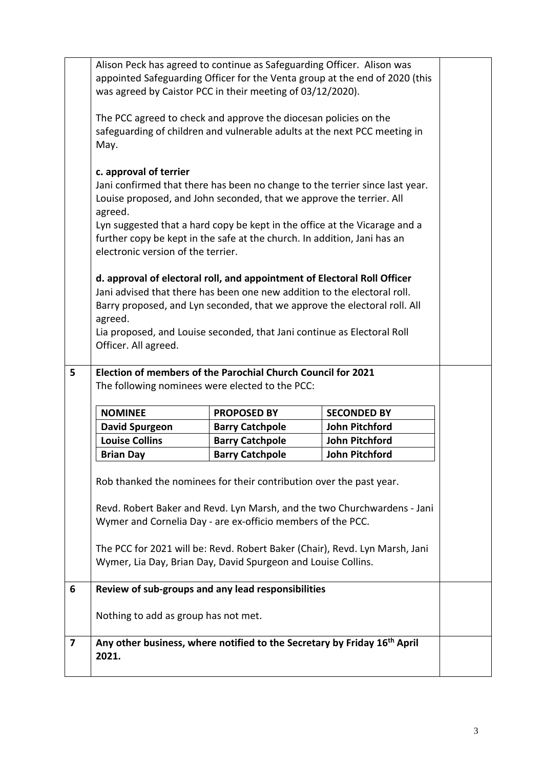|   |                                                                                                                                                                                                                                                                                                                                                                                           | Alison Peck has agreed to continue as Safeguarding Officer. Alison was<br>was agreed by Caistor PCC in their meeting of 03/12/2020).                                                                                            | appointed Safeguarding Officer for the Venta group at the end of 2020 (this |  |  |
|---|-------------------------------------------------------------------------------------------------------------------------------------------------------------------------------------------------------------------------------------------------------------------------------------------------------------------------------------------------------------------------------------------|---------------------------------------------------------------------------------------------------------------------------------------------------------------------------------------------------------------------------------|-----------------------------------------------------------------------------|--|--|
|   | The PCC agreed to check and approve the diocesan policies on the<br>May.                                                                                                                                                                                                                                                                                                                  | safeguarding of children and vulnerable adults at the next PCC meeting in                                                                                                                                                       |                                                                             |  |  |
|   | c. approval of terrier<br>Jani confirmed that there has been no change to the terrier since last year.<br>Louise proposed, and John seconded, that we approve the terrier. All<br>agreed.<br>Lyn suggested that a hard copy be kept in the office at the Vicarage and a<br>further copy be kept in the safe at the church. In addition, Jani has an<br>electronic version of the terrier. |                                                                                                                                                                                                                                 |                                                                             |  |  |
|   | agreed.<br>Officer. All agreed.                                                                                                                                                                                                                                                                                                                                                           | d. approval of electoral roll, and appointment of Electoral Roll Officer<br>Jani advised that there has been one new addition to the electoral roll.<br>Lia proposed, and Louise seconded, that Jani continue as Electoral Roll | Barry proposed, and Lyn seconded, that we approve the electoral roll. All   |  |  |
| 5 | Election of members of the Parochial Church Council for 2021<br>The following nominees were elected to the PCC:                                                                                                                                                                                                                                                                           |                                                                                                                                                                                                                                 |                                                                             |  |  |
|   | <b>NOMINEE</b>                                                                                                                                                                                                                                                                                                                                                                            | <b>PROPOSED BY</b>                                                                                                                                                                                                              | <b>SECONDED BY</b>                                                          |  |  |
|   | <b>David Spurgeon</b>                                                                                                                                                                                                                                                                                                                                                                     | <b>Barry Catchpole</b>                                                                                                                                                                                                          | John Pitchford                                                              |  |  |
|   | <b>Louise Collins</b>                                                                                                                                                                                                                                                                                                                                                                     | <b>Barry Catchpole</b>                                                                                                                                                                                                          | John Pitchford                                                              |  |  |
|   | <b>Brian Day</b>                                                                                                                                                                                                                                                                                                                                                                          | <b>Barry Catchpole</b>                                                                                                                                                                                                          | <b>John Pitchford</b>                                                       |  |  |
|   | Rob thanked the nominees for their contribution over the past year.<br>Revd. Robert Baker and Revd. Lyn Marsh, and the two Churchwardens - Jani<br>Wymer and Cornelia Day - are ex-officio members of the PCC.<br>The PCC for 2021 will be: Revd. Robert Baker (Chair), Revd. Lyn Marsh, Jani<br>Wymer, Lia Day, Brian Day, David Spurgeon and Louise Collins.                            |                                                                                                                                                                                                                                 |                                                                             |  |  |
|   |                                                                                                                                                                                                                                                                                                                                                                                           |                                                                                                                                                                                                                                 |                                                                             |  |  |
| 6 |                                                                                                                                                                                                                                                                                                                                                                                           | Review of sub-groups and any lead responsibilities                                                                                                                                                                              |                                                                             |  |  |
|   | Nothing to add as group has not met.                                                                                                                                                                                                                                                                                                                                                      |                                                                                                                                                                                                                                 |                                                                             |  |  |